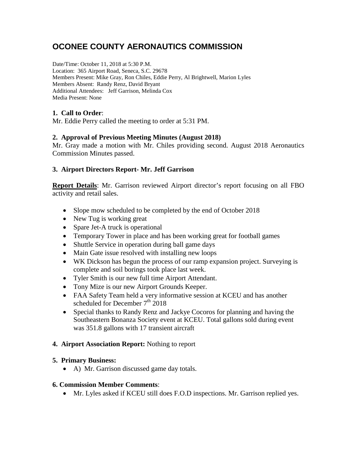# **OCONEE COUNTY AERONAUTICS COMMISSION**

Date/Time: October 11, 2018 at 5:30 P.M. Location: 365 Airport Road, Seneca, S.C. 29678 Members Present: Mike Gray, Ron Chiles, Eddie Perry, Al Brightwell, Marion Lyles Members Absent: Randy Renz, David Bryant Additional Attendees: Jeff Garrison, Melinda Cox Media Present: None

## **1. Call to Order**:

Mr. Eddie Perry called the meeting to order at 5:31 PM.

### **2. Approval of Previous Meeting Minutes (August 2018)**

Mr. Gray made a motion with Mr. Chiles providing second. August 2018 Aeronautics Commission Minutes passed.

### **3. Airport Directors Report- Mr. Jeff Garrison**

**Report Details**: Mr. Garrison reviewed Airport director's report focusing on all FBO activity and retail sales.

- Slope mow scheduled to be completed by the end of October 2018
- New Tug is working great
- Spare Jet-A truck is operational
- Temporary Tower in place and has been working great for football games
- Shuttle Service in operation during ball game days
- Main Gate issue resolved with installing new loops
- WK Dickson has begun the process of our ramp expansion project. Surveying is complete and soil borings took place last week.
- Tyler Smith is our new full time Airport Attendant.
- Tony Mize is our new Airport Grounds Keeper.
- FAA Safety Team held a very informative session at KCEU and has another scheduled for December  $7<sup>th</sup>$  2018
- Special thanks to Randy Renz and Jackye Cocoros for planning and having the Southeastern Bonanza Society event at KCEU. Total gallons sold during event was 351.8 gallons with 17 transient aircraft

### **4. Airport Association Report:** Nothing to report

### **5. Primary Business:**

• A) Mr. Garrison discussed game day totals.

### **6. Commission Member Comments**:

• Mr. Lyles asked if KCEU still does F.O.D inspections. Mr. Garrison replied yes.